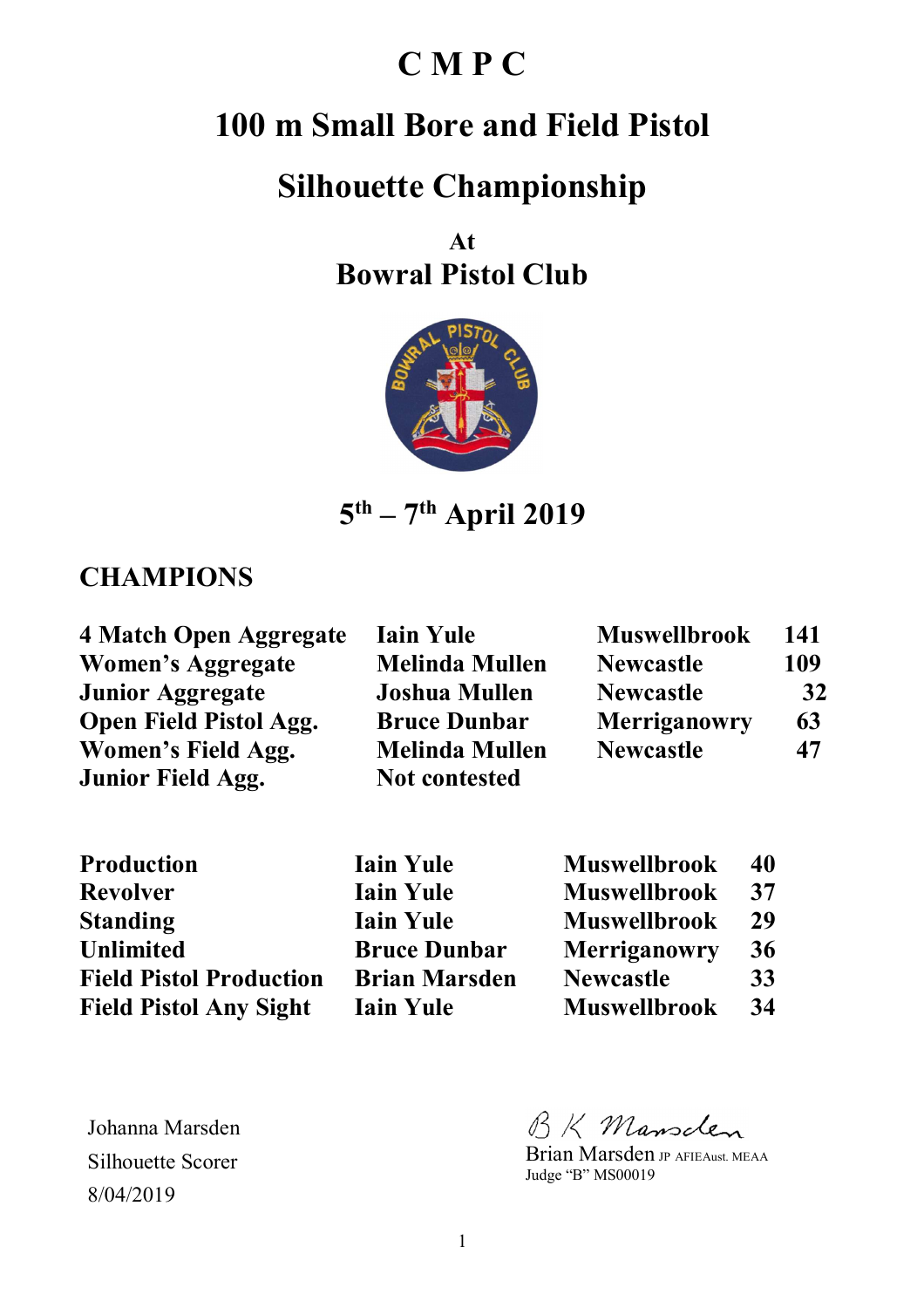# **C M P C**

# **100 m Small Bore and Field Pistol**

## **Silhouette Championship**

**At Bowral Pistol Club** 



**5 th – 7th April 2019** 

#### **CHAMPIONS**

| 4 Match Open Aggregate        | <b>Iain Yule</b>      | <b>Muswellbrook</b> | 141 |
|-------------------------------|-----------------------|---------------------|-----|
| <b>Women's Aggregate</b>      | <b>Melinda Mullen</b> | <b>Newcastle</b>    | 109 |
| <b>Junior Aggregate</b>       | <b>Joshua Mullen</b>  | <b>Newcastle</b>    | 32  |
| <b>Open Field Pistol Agg.</b> | <b>Bruce Dunbar</b>   | <b>Merriganowry</b> | 63  |
| Women's Field Agg.            | <b>Melinda Mullen</b> | <b>Newcastle</b>    | 47  |
| <b>Junior Field Agg.</b>      | <b>Not contested</b>  |                     |     |

| Production                     |  |
|--------------------------------|--|
| <b>Revolver</b>                |  |
| <b>Standing</b>                |  |
| <b>Unlimited</b>               |  |
| <b>Field Pistol Production</b> |  |
| <b>Field Pistol Any Sight</b>  |  |

| <b>Iain Yule</b>     | <b>Muswellbrook</b> | 40 |
|----------------------|---------------------|----|
| <b>Iain Yule</b>     | <b>Muswellbrook</b> | 37 |
| <b>Iain Yule</b>     | <b>Muswellbrook</b> | 29 |
| <b>Bruce Dunbar</b>  | <b>Merriganowry</b> | 36 |
| <b>Brian Marsden</b> | <b>Newcastle</b>    | 33 |
| <b>Iain Yule</b>     | <b>Muswellbrook</b> | 34 |

Johanna Marsden Silhouette Scorer 8/04/2019

BK Mansden

Brian Marsden JP AFIEAust. MEAA Judge "B" MS00019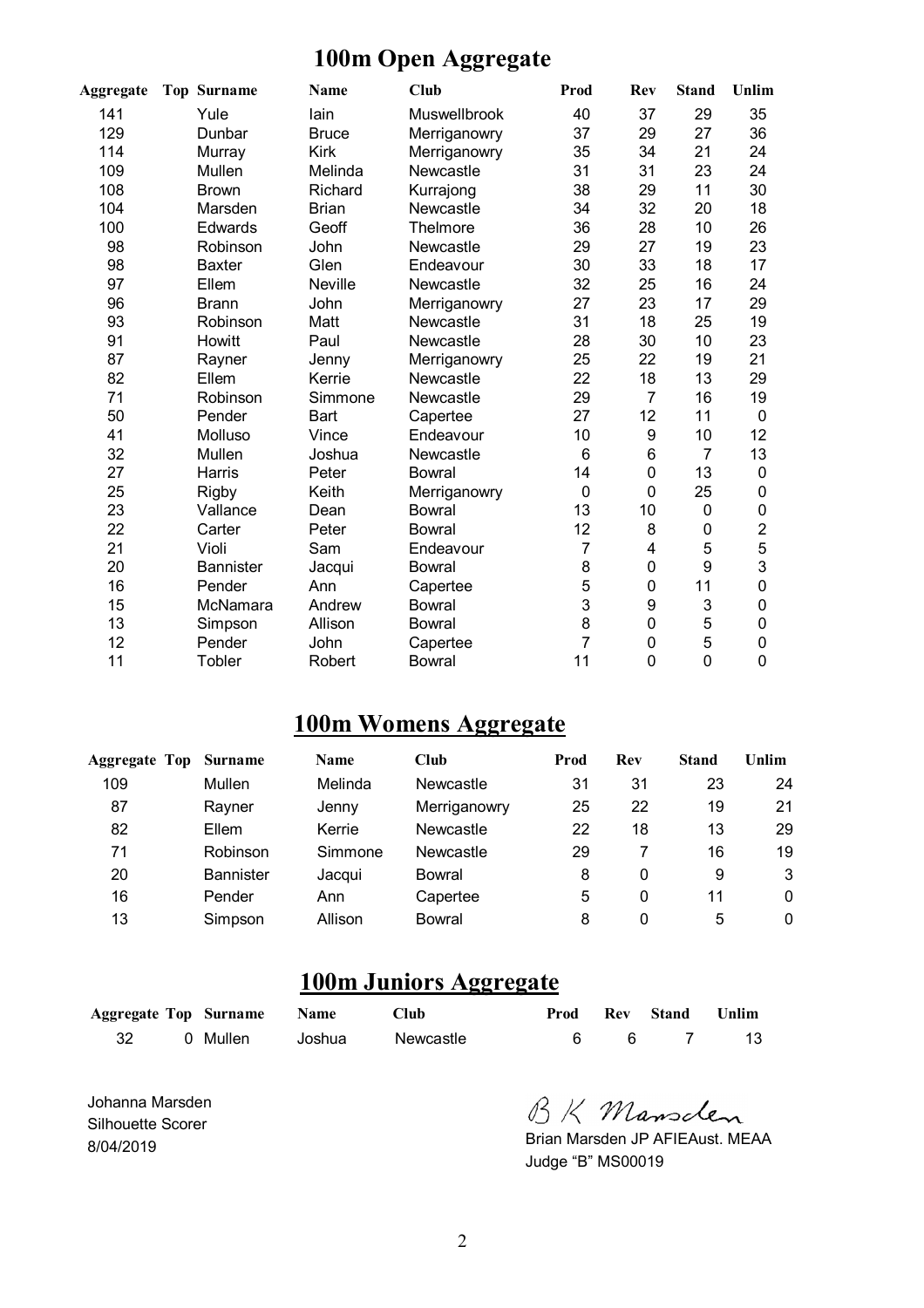#### **100m Open Aggregate**

| <b>Aggregate</b> | <b>Top Surname</b> | <b>Name</b>  | <b>Club</b>   | Prod | Rev         | <b>Stand</b>   | Unlim          |
|------------------|--------------------|--------------|---------------|------|-------------|----------------|----------------|
| 141              | Yule               | lain         | Muswellbrook  | 40   | 37          | 29             | 35             |
| 129              | Dunbar             | <b>Bruce</b> | Merriganowry  | 37   | 29          | 27             | 36             |
| 114              | Murray             | <b>Kirk</b>  | Merriganowry  | 35   | 34          | 21             | 24             |
| 109              | Mullen             | Melinda      | Newcastle     | 31   | 31          | 23             | 24             |
| 108              | <b>Brown</b>       | Richard      | Kurrajong     | 38   | 29          | 11             | 30             |
| 104              | Marsden            | <b>Brian</b> | Newcastle     | 34   | 32          | 20             | 18             |
| 100              | Edwards            | Geoff        | Thelmore      | 36   | 28          | 10             | 26             |
| 98               | Robinson           | John         | Newcastle     | 29   | 27          | 19             | 23             |
| 98               | <b>Baxter</b>      | Glen         | Endeavour     | 30   | 33          | 18             | 17             |
| 97               | Ellem              | Neville      | Newcastle     | 32   | 25          | 16             | 24             |
| 96               | <b>Brann</b>       | John         | Merriganowry  | 27   | 23          | 17             | 29             |
| 93               | Robinson           | Matt         | Newcastle     | 31   | 18          | 25             | 19             |
| 91               | Howitt             | Paul         | Newcastle     | 28   | 30          | 10             | 23             |
| 87               | Rayner             | Jenny        | Merriganowry  | 25   | 22          | 19             | 21             |
| 82               | Ellem              | Kerrie       | Newcastle     | 22   | 18          | 13             | 29             |
| 71               | Robinson           | Simmone      | Newcastle     | 29   | 7           | 16             | 19             |
| 50               | Pender             | Bart         | Capertee      | 27   | 12          | 11             | 0              |
| 41               | Molluso            | Vince        | Endeavour     | 10   | 9           | 10             | 12             |
| 32               | Mullen             | Joshua       | Newcastle     | 6    | 6           | $\overline{7}$ | 13             |
| 27               | Harris             | Peter        | <b>Bowral</b> | 14   | 0           | 13             | 0              |
| 25               | <b>Rigby</b>       | Keith        | Merriganowry  | 0    | $\mathbf 0$ | 25             | 0              |
| 23               | Vallance           | Dean         | <b>Bowral</b> | 13   | 10          | 0              | 0              |
| 22               | Carter             | Peter        | <b>Bowral</b> | 12   | 8           | 0              | $\overline{2}$ |
| 21               | Violi              | Sam          | Endeavour     | 7    | 4           | 5              | 5              |
| 20               | <b>Bannister</b>   | Jacqui       | <b>Bowral</b> | 8    | 0           | 9              | 3              |
| 16               | Pender             | Ann          | Capertee      | 5    | 0           | 11             | 0              |
| 15               | McNamara           | Andrew       | <b>Bowral</b> | 3    | 9           | 3              | 0              |
| 13               | Simpson            | Allison      | <b>Bowral</b> | 8    | 0           | 5              | 0              |
| 12               | Pender             | John         | Capertee      | 7    | 0           | 5              | 0              |
| 11               | Tobler             | Robert       | <b>Bowral</b> | 11   | 0           | $\overline{0}$ | 0              |

#### **100m Womens Aggregate**

| <b>Aggregate Top</b> | <b>Surname</b>   | <b>Name</b> | Club         | Prod | Rev         | <b>Stand</b> | Unlim |
|----------------------|------------------|-------------|--------------|------|-------------|--------------|-------|
| 109                  | Mullen           | Melinda     | Newcastle    | 31   | 31          | 23           | 24    |
| 87                   | Rayner           | Jenny       | Merriganowry | 25   | 22          | 19           | 21    |
| 82                   | Ellem            | Kerrie      | Newcastle    | 22   | 18          | 13           | 29    |
| 71                   | Robinson         | Simmone     | Newcastle    | 29   |             | 16           | 19    |
| 20                   | <b>Bannister</b> | Jacqui      | Bowral       | 8    | $\mathbf 0$ | 9            | 3     |
| 16                   | Pender           | Ann         | Capertee     | 5    | 0           | 11           | 0     |
| 13                   | Simpson          | Allison     | Bowral       | 8    | 0           | 5            | 0     |

## **100m Juniors Aggregate**

|  | <b>Aggregate Top Surname Name</b> | Club      |  | Prod Rev Stand Unlim |     |
|--|-----------------------------------|-----------|--|----------------------|-----|
|  | 0 Mullen     Joshua               | Newcastle |  | 667                  | -13 |

Johanna Marsden Silhouette Scorer 8/04/2019

BK Mansclen

Brian Marsden JP AFIEAust. MEAA Judge "B" MS00019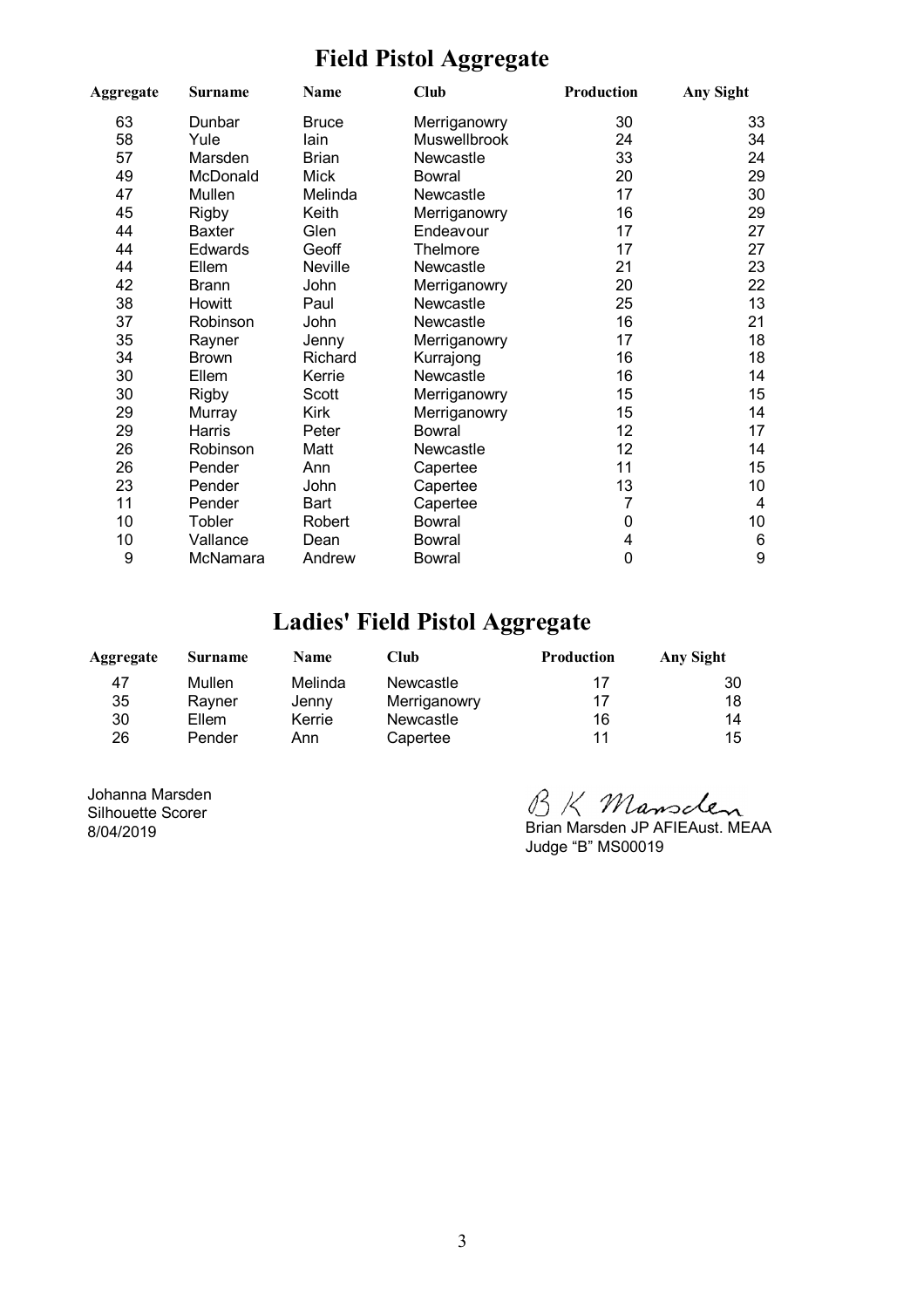#### **Field Pistol Aggregate**

| Aggregate | <b>Surname</b> | Name         | Club          | Production | <b>Any Sight</b> |
|-----------|----------------|--------------|---------------|------------|------------------|
| 63        | Dunbar         | <b>Bruce</b> | Merriganowry  | 30         | 33               |
| 58        | Yule           | lain         | Muswellbrook  | 24         | 34               |
| 57        | Marsden        | <b>Brian</b> | Newcastle     | 33         | 24               |
| 49        | McDonald       | <b>Mick</b>  | Bowral        | 20         | 29               |
| 47        | Mullen         | Melinda      | Newcastle     | 17         | 30               |
| 45        | <b>Rigby</b>   | Keith        | Merriganowry  | 16         | 29               |
| 44        | <b>Baxter</b>  | Glen         | Endeavour     | 17         | 27               |
| 44        | Edwards        | Geoff        | Thelmore      | 17         | 27               |
| 44        | Ellem          | Neville      | Newcastle     | 21         | 23               |
| 42        | <b>Brann</b>   | John         | Merriganowry  | 20         | 22               |
| 38        | Howitt         | Paul         | Newcastle     | 25         | 13               |
| 37        | Robinson       | John         | Newcastle     | 16         | 21               |
| 35        | Rayner         | Jenny        | Merriganowry  | 17         | 18               |
| 34        | <b>Brown</b>   | Richard      | Kurrajong     | 16         | 18               |
| 30        | Ellem          | Kerrie       | Newcastle     | 16         | 14               |
| 30        | <b>Rigby</b>   | Scott        | Merriganowry  | 15         | 15               |
| 29        | Murray         | <b>Kirk</b>  | Merriganowry  | 15         | 14               |
| 29        | Harris         | Peter        | <b>Bowral</b> | 12         | 17               |
| 26        | Robinson       | Matt         | Newcastle     | 12         | 14               |
| 26        | Pender         | Ann          | Capertee      | 11         | 15               |
| 23        | Pender         | John         | Capertee      | 13         | 10               |
| 11        | Pender         | Bart         | Capertee      | 7          | $\overline{4}$   |
| 10        | Tobler         | Robert       | <b>Bowral</b> | 0          | 10               |
| 10        | Vallance       | Dean         | <b>Bowral</b> | 4          | $6\phantom{1}6$  |
| 9         | McNamara       | Andrew       | <b>Bowral</b> | 0          | 9                |

## **Ladies' Field Pistol Aggregate**

| Aggregate | Surname | <b>Name</b> | Club         | <b>Production</b> | Any Sight |
|-----------|---------|-------------|--------------|-------------------|-----------|
| 47        | Mullen  | Melinda     | Newcastle    | 17                | 30        |
| 35        | Ravner  | Jenny       | Merriganowry | 17                | 18        |
| 30        | Ellem   | Kerrie      | Newcastle    | 16                | 14        |
| 26        | Pender  | Ann         | Capertee     | 11                | 15        |

Johanna Marsden Silhouette Scorer 8/04/2019

BK Mansclen<br>Brian Marsden JP AFIEAust. MEAA

Judge "B" MS00019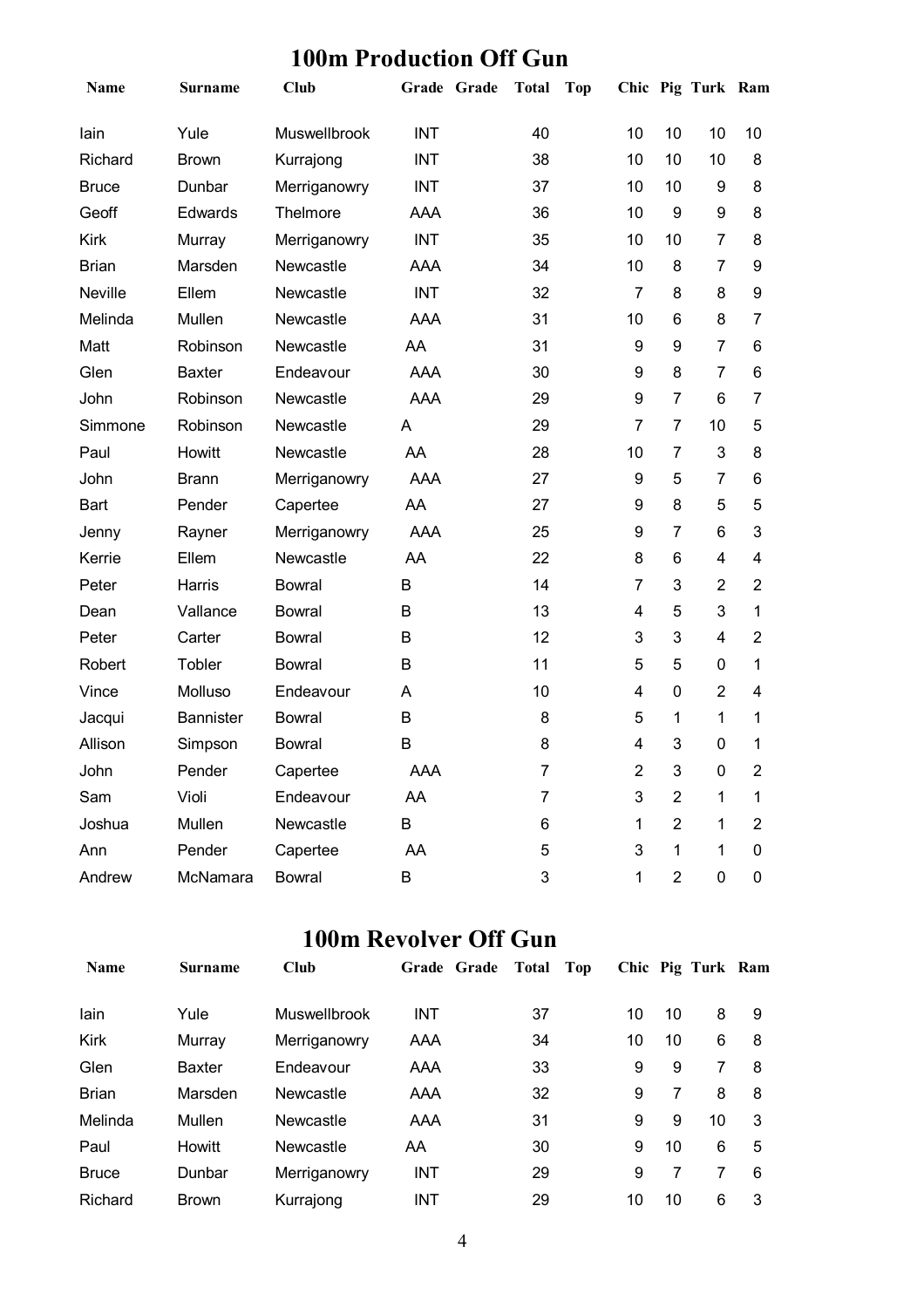| Name         | <b>Surname</b>   | <b>Club</b>   | Grade Grade | <b>Total</b> | <b>Top</b>     |                | Chic Pig Turk Ram |                |
|--------------|------------------|---------------|-------------|--------------|----------------|----------------|-------------------|----------------|
| lain         | Yule             | Muswellbrook  | <b>INT</b>  | 40           | 10             | 10             | 10                | 10             |
| Richard      | <b>Brown</b>     | Kurrajong     | <b>INT</b>  | 38           | 10             | 10             | 10                | 8              |
| <b>Bruce</b> | Dunbar           | Merriganowry  | <b>INT</b>  | 37           | 10             | 10             | 9                 | 8              |
| Geoff        | Edwards          | Thelmore      | AAA         | 36           | 10             | 9              | 9                 | 8              |
| <b>Kirk</b>  | Murray           | Merriganowry  | <b>INT</b>  | 35           | 10             | 10             | $\overline{7}$    | 8              |
| <b>Brian</b> | Marsden          | Newcastle     | AAA         | 34           | 10             | 8              | $\overline{7}$    | 9              |
| Neville      | Ellem            | Newcastle     | <b>INT</b>  | 32           | $\overline{7}$ | 8              | 8                 | 9              |
| Melinda      | Mullen           | Newcastle     | AAA         | 31           | 10             | 6              | 8                 | 7              |
| Matt         | Robinson         | Newcastle     | AA          | 31           | 9              | 9              | $\overline{7}$    | 6              |
| Glen         | <b>Baxter</b>    | Endeavour     | AAA         | 30           | 9              | 8              | $\overline{7}$    | 6              |
| John         | Robinson         | Newcastle     | <b>AAA</b>  | 29           | 9              | $\overline{7}$ | 6                 | 7              |
| Simmone      | Robinson         | Newcastle     | A           | 29           | 7              | $\overline{7}$ | 10                | 5              |
| Paul         | Howitt           | Newcastle     | AA          | 28           | 10             | $\overline{7}$ | 3                 | 8              |
| John         | <b>Brann</b>     | Merriganowry  | AAA         | 27           | 9              | 5              | $\overline{7}$    | 6              |
| <b>Bart</b>  | Pender           | Capertee      | AA          | 27           | 9              | 8              | 5                 | 5              |
| Jenny        | Rayner           | Merriganowry  | <b>AAA</b>  | 25           | 9              | $\overline{7}$ | 6                 | 3              |
| Kerrie       | Ellem            | Newcastle     | AA          | 22           | 8              | 6              | 4                 | 4              |
| Peter        | Harris           | <b>Bowral</b> | B           | 14           | $\overline{7}$ | 3              | $\overline{2}$    | $\overline{2}$ |
| Dean         | Vallance         | <b>Bowral</b> | B           | 13           | 4              | 5              | 3                 | 1              |
| Peter        | Carter           | <b>Bowral</b> | B           | 12           | 3              | 3              | 4                 | $\overline{2}$ |
| Robert       | Tobler           | <b>Bowral</b> | B           | 11           | 5              | 5              | 0                 | 1              |
| Vince        | Molluso          | Endeavour     | Α           | 10           | 4              | $\mathbf 0$    | $\overline{2}$    | 4              |
| Jacqui       | <b>Bannister</b> | <b>Bowral</b> | B           | 8            | 5              | 1              | 1                 | 1              |
| Allison      | Simpson          | <b>Bowral</b> | В           | 8            | 4              | 3              | 0                 | 1              |
| John         | Pender           | Capertee      | AAA         | 7            | $\overline{c}$ | 3              | $\boldsymbol{0}$  | $\overline{2}$ |
| Sam          | Violi            | Endeavour     | AA          | 7            | 3              | $\overline{2}$ | 1                 | 1              |
| Joshua       | Mullen           | Newcastle     | B           | 6            | 1              | $\overline{2}$ | 1                 | $\overline{2}$ |
| Ann          | Pender           | Capertee      | AA          | 5            | 3              | 1              | 1                 | 0              |
| Andrew       | McNamara         | Bowral        | B           | 3            | 1              | $\overline{2}$ | 0                 | 0              |

#### **100m Production Off Gun**

## **100m Revolver Off Gun**

| <b>Name</b>  | <b>Surname</b> | <b>Club</b>  | Grade Grade | Total<br>Top |    |    | Chic Pig Turk Ram |   |
|--------------|----------------|--------------|-------------|--------------|----|----|-------------------|---|
| lain         | Yule           | Muswellbrook | <b>INT</b>  | 37           | 10 | 10 | 8                 | 9 |
| Kirk         | Murray         | Merriganowry | AAA         | 34           | 10 | 10 | 6                 | 8 |
| Glen         | <b>Baxter</b>  | Endeavour    | AAA         | 33           | 9  | 9  | 7                 | 8 |
| <b>Brian</b> | Marsden        | Newcastle    | AAA         | 32           | 9  | 7  | 8                 | 8 |
| Melinda      | Mullen         | Newcastle    | AAA         | 31           | 9  | 9  | 10                | 3 |
| Paul         | Howitt         | Newcastle    | AA          | 30           | 9  | 10 | 6                 | 5 |
| <b>Bruce</b> | Dunbar         | Merriganowry | <b>INT</b>  | 29           | 9  |    | 7                 | 6 |
| Richard      | <b>Brown</b>   | Kurrajong    | <b>INT</b>  | 29           | 10 | 10 | 6                 | 3 |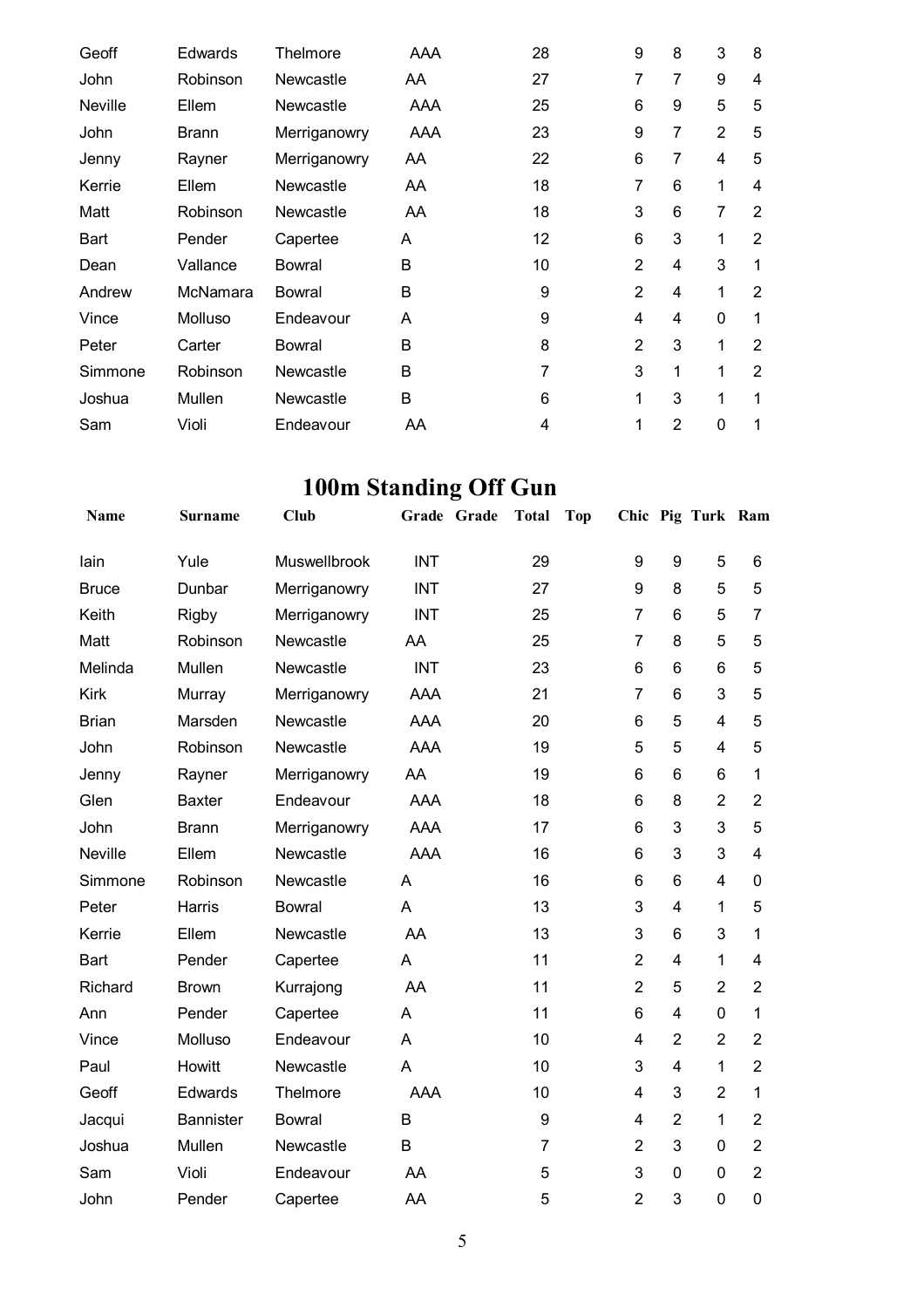| Geoff          | <b>Edwards</b> | Thelmore     | AAA | 28 | 9              | 8              | 3              | 8              |
|----------------|----------------|--------------|-----|----|----------------|----------------|----------------|----------------|
| John           | Robinson       | Newcastle    | AA  | 27 | 7              | 7              | 9              | 4              |
| <b>Neville</b> | Ellem          | Newcastle    | AAA | 25 | 6              | 9              | 5              | 5              |
| John           | <b>Brann</b>   | Merriganowry | AAA | 23 | 9              | 7              | $\overline{2}$ | 5              |
| Jenny          | Rayner         | Merriganowry | AA  | 22 | 6              | 7              | 4              | 5              |
| Kerrie         | Ellem          | Newcastle    | AA  | 18 | 7              | 6              | 1              | 4              |
| Matt           | Robinson       | Newcastle    | AA  | 18 | 3              | 6              | $\overline{7}$ | $\overline{2}$ |
| Bart           | Pender         | Capertee     | A   | 12 | 6              | 3              | 1              | $\overline{2}$ |
| Dean           | Vallance       | Bowral       | B   | 10 | $\overline{2}$ | 4              | 3              | 1              |
| Andrew         | McNamara       | Bowral       | B   | 9  | $\overline{2}$ | 4              | 1              | $\overline{2}$ |
| Vince          | Molluso        | Endeavour    | A   | 9  | 4              | 4              | 0              | 1              |
| Peter          | Carter         | Bowral       | B   | 8  | $\overline{2}$ | 3              | 1              | $\overline{2}$ |
| Simmone        | Robinson       | Newcastle    | B   | 7  | 3              | 1              | 1              | 2              |
| Joshua         | Mullen         | Newcastle    | B   | 6  | 1              | 3              | 1              | 1              |
| Sam            | Violi          | Endeavour    | AA  | 4  | 1              | $\overline{2}$ | 0              | 1              |

# **100m Standing Off Gun**

| Name         | <b>Surname</b>   | Club          | Grade Grade | <b>Total</b>   | Top |                |                | Chic Pig Turk Ram |                |
|--------------|------------------|---------------|-------------|----------------|-----|----------------|----------------|-------------------|----------------|
| lain         | Yule             | Muswellbrook  | <b>INT</b>  | 29             |     | 9              | 9              | 5                 | 6              |
| <b>Bruce</b> | Dunbar           | Merriganowry  | <b>INT</b>  | 27             |     | 9              | 8              | 5                 | 5              |
| Keith        | <b>Rigby</b>     | Merriganowry  | <b>INT</b>  | 25             |     | $\overline{7}$ | 6              | 5                 | $\overline{7}$ |
| Matt         | Robinson         | Newcastle     | AA          | 25             |     | $\overline{7}$ | 8              | 5                 | 5              |
| Melinda      | Mullen           | Newcastle     | <b>INT</b>  | 23             |     | 6              | 6              | 6                 | 5              |
| <b>Kirk</b>  | Murray           | Merriganowry  | <b>AAA</b>  | 21             |     | $\overline{7}$ | 6              | 3                 | 5              |
| <b>Brian</b> | Marsden          | Newcastle     | <b>AAA</b>  | 20             |     | 6              | 5              | $\overline{4}$    | 5              |
| John         | Robinson         | Newcastle     | <b>AAA</b>  | 19             |     | 5              | 5              | 4                 | 5              |
| Jenny        | Rayner           | Merriganowry  | AA          | 19             |     | 6              | 6              | 6                 | $\mathbf{1}$   |
| Glen         | <b>Baxter</b>    | Endeavour     | <b>AAA</b>  | 18             |     | 6              | 8              | $\overline{2}$    | $\overline{2}$ |
| John         | <b>Brann</b>     | Merriganowry  | <b>AAA</b>  | 17             |     | 6              | 3              | 3                 | 5              |
| Neville      | Ellem            | Newcastle     | <b>AAA</b>  | 16             |     | 6              | 3              | 3                 | $\overline{4}$ |
| Simmone      | Robinson         | Newcastle     | A           | 16             |     | 6              | 6              | $\overline{4}$    | 0              |
| Peter        | Harris           | <b>Bowral</b> | A           | 13             |     | 3              | 4              | $\mathbf{1}$      | 5              |
| Kerrie       | Ellem            | Newcastle     | AA          | 13             |     | 3              | 6              | 3                 | 1              |
| Bart         | Pender           | Capertee      | A           | 11             |     | $\overline{2}$ | 4              | $\mathbf{1}$      | $\overline{4}$ |
| Richard      | <b>Brown</b>     | Kurrajong     | AA          | 11             |     | $\overline{2}$ | 5              | $\overline{2}$    | $\overline{2}$ |
| Ann          | Pender           | Capertee      | A           | 11             |     | 6              | 4              | $\mathbf 0$       | 1              |
| Vince        | Molluso          | Endeavour     | A           | 10             |     | 4              | $\overline{2}$ | $\overline{2}$    | $\overline{2}$ |
| Paul         | Howitt           | Newcastle     | A           | 10             |     | 3              | 4              | $\mathbf{1}$      | $\overline{2}$ |
| Geoff        | Edwards          | Thelmore      | AAA         | 10             |     | 4              | 3              | $\overline{2}$    | 1              |
| Jacqui       | <b>Bannister</b> | <b>Bowral</b> | B           | 9              |     | 4              | $\overline{2}$ | $\mathbf{1}$      | $\overline{2}$ |
| Joshua       | Mullen           | Newcastle     | B           | $\overline{7}$ |     | $\overline{2}$ | 3              | $\overline{0}$    | $\overline{2}$ |
| Sam          | Violi            | Endeavour     | AA          | 5              |     | 3              | $\mathbf 0$    | $\overline{0}$    | $\overline{2}$ |
| John         | Pender           | Capertee      | AA          | 5              |     | $\overline{2}$ | 3              | $\overline{0}$    | 0              |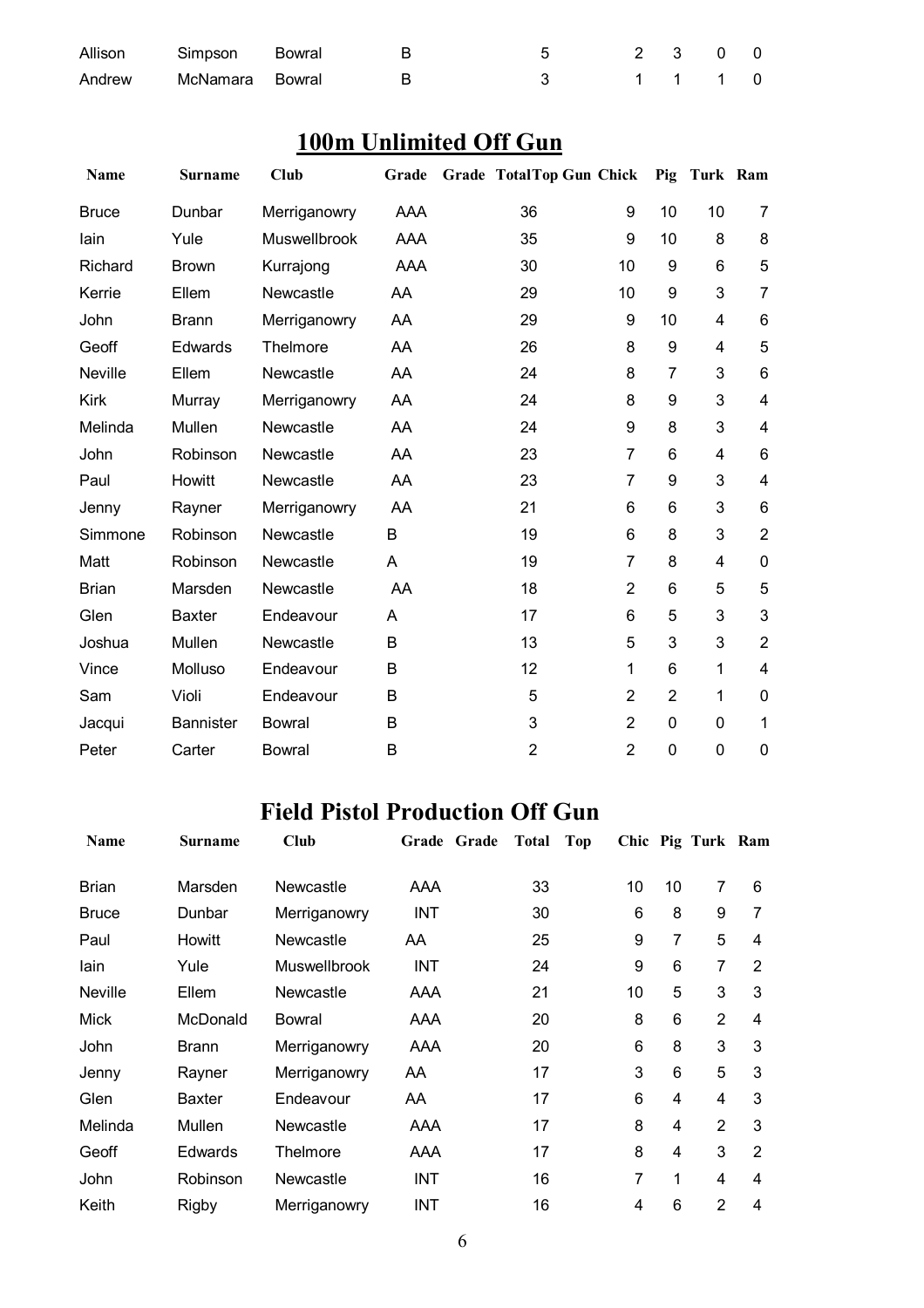| Allison Simpson Bowral |                          | 5 2 3 0 0 |  |  |
|------------------------|--------------------------|-----------|--|--|
|                        | Andrew McNamara Bowral B | 3 1 1 1 0 |  |  |

## **100m Unlimited Off Gun**

| <b>Name</b>  | <b>Surname</b>   | <b>Club</b>   | Grade | <b>Grade TotalTop Gun Chick</b> |                |                | Pig Turk Ram |                         |
|--------------|------------------|---------------|-------|---------------------------------|----------------|----------------|--------------|-------------------------|
| <b>Bruce</b> | Dunbar           | Merriganowry  | AAA   | 36                              | 9              | 10             | 10           | 7                       |
| lain         | Yule             | Muswellbrook  | AAA   | 35                              | 9              | 10             | 8            | 8                       |
| Richard      | <b>Brown</b>     | Kurrajong     | AAA   | 30                              | 10             | 9              | 6            | 5                       |
| Kerrie       | Ellem            | Newcastle     | AA    | 29                              | 10             | 9              | 3            | $\overline{7}$          |
| John         | <b>Brann</b>     | Merriganowry  | AA    | 29                              | 9              | 10             | 4            | 6                       |
| Geoff        | Edwards          | Thelmore      | AA    | 26                              | 8              | 9              | 4            | 5                       |
| Neville      | Ellem            | Newcastle     | AA    | 24                              | 8              | 7              | 3            | 6                       |
| <b>Kirk</b>  | Murray           | Merriganowry  | AA    | 24                              | 8              | 9              | 3            | 4                       |
| Melinda      | Mullen           | Newcastle     | AA    | 24                              | 9              | 8              | 3            | 4                       |
| John         | Robinson         | Newcastle     | AA    | 23                              | 7              | 6              | 4            | 6                       |
| Paul         | Howitt           | Newcastle     | AA    | 23                              | $\overline{7}$ | 9              | 3            | $\overline{\mathbf{4}}$ |
| Jenny        | Rayner           | Merriganowry  | AA    | 21                              | 6              | 6              | 3            | 6                       |
| Simmone      | Robinson         | Newcastle     | B     | 19                              | 6              | 8              | 3            | $\overline{2}$          |
| Matt         | Robinson         | Newcastle     | A     | 19                              | 7              | 8              | 4            | $\mathbf 0$             |
| <b>Brian</b> | Marsden          | Newcastle     | AA    | 18                              | $\overline{2}$ | 6              | 5            | 5                       |
| Glen         | <b>Baxter</b>    | Endeavour     | A     | 17                              | 6              | 5              | 3            | 3                       |
| Joshua       | Mullen           | Newcastle     | B     | 13                              | 5              | 3              | 3            | $\overline{2}$          |
| Vince        | Molluso          | Endeavour     | B     | 12                              | 1              | 6              | 1            | 4                       |
| Sam          | Violi            | Endeavour     | B     | 5                               | $\overline{2}$ | $\overline{2}$ | 1            | 0                       |
| Jacqui       | <b>Bannister</b> | <b>Bowral</b> | B     | 3                               | $\overline{2}$ | 0              | $\mathbf{0}$ | 1                       |
| Peter        | Carter           | <b>Bowral</b> | B     | $\overline{2}$                  | $\overline{2}$ | $\mathbf 0$    | $\mathbf 0$  | $\mathbf 0$             |

## **Field Pistol Production Off Gun**

| Name           | <b>Surname</b> | <b>Club</b>         | Grade Grade | <b>Total</b> | Top |                 |                | Chic Pig Turk Ram |                |
|----------------|----------------|---------------------|-------------|--------------|-----|-----------------|----------------|-------------------|----------------|
| <b>Brian</b>   | Marsden        | Newcastle           | AAA         | 33           |     | 10              | 10             | 7                 | 6              |
| <b>Bruce</b>   | Dunbar         | Merriganowry        | INT         | 30           |     | 6               | 8              | 9                 | 7              |
| Paul           | Howitt         | Newcastle           | AA          | 25           |     | 9               | $\overline{7}$ | 5                 | 4              |
| lain           | Yule           | <b>Muswellbrook</b> | INT         | 24           |     | 9               | 6              | 7                 | $\overline{2}$ |
| <b>Neville</b> | Ellem          | Newcastle           | AAA         | 21           |     | 10              | 5              | 3                 | 3              |
| Mick           | McDonald       | Bowral              | AAA         | 20           |     | 8               | 6              | $\overline{2}$    | $\overline{4}$ |
| John           | Brann          | Merriganowry        | AAA         | 20           |     | $6\phantom{1}6$ | 8              | 3                 | 3              |
| Jenny          | Rayner         | Merriganowry        | AA          | 17           |     | 3               | 6              | 5                 | 3              |
| Glen           | <b>Baxter</b>  | Endeavour           | AA          | 17           |     | 6               | 4              | 4                 | 3              |
| Melinda        | Mullen         | Newcastle           | AAA         | 17           |     | 8               | $\overline{4}$ | $\overline{2}$    | 3              |
| Geoff          | Edwards        | Thelmore            | AAA         | 17           |     | 8               | 4              | 3                 | $\overline{2}$ |
| John           | Robinson       | Newcastle           | <b>INT</b>  | 16           |     | 7               | 1              | 4                 | 4              |
| Keith          | Rigby          | Merriganowry        | INT         | 16           |     | 4               | 6              | $\overline{2}$    | 4              |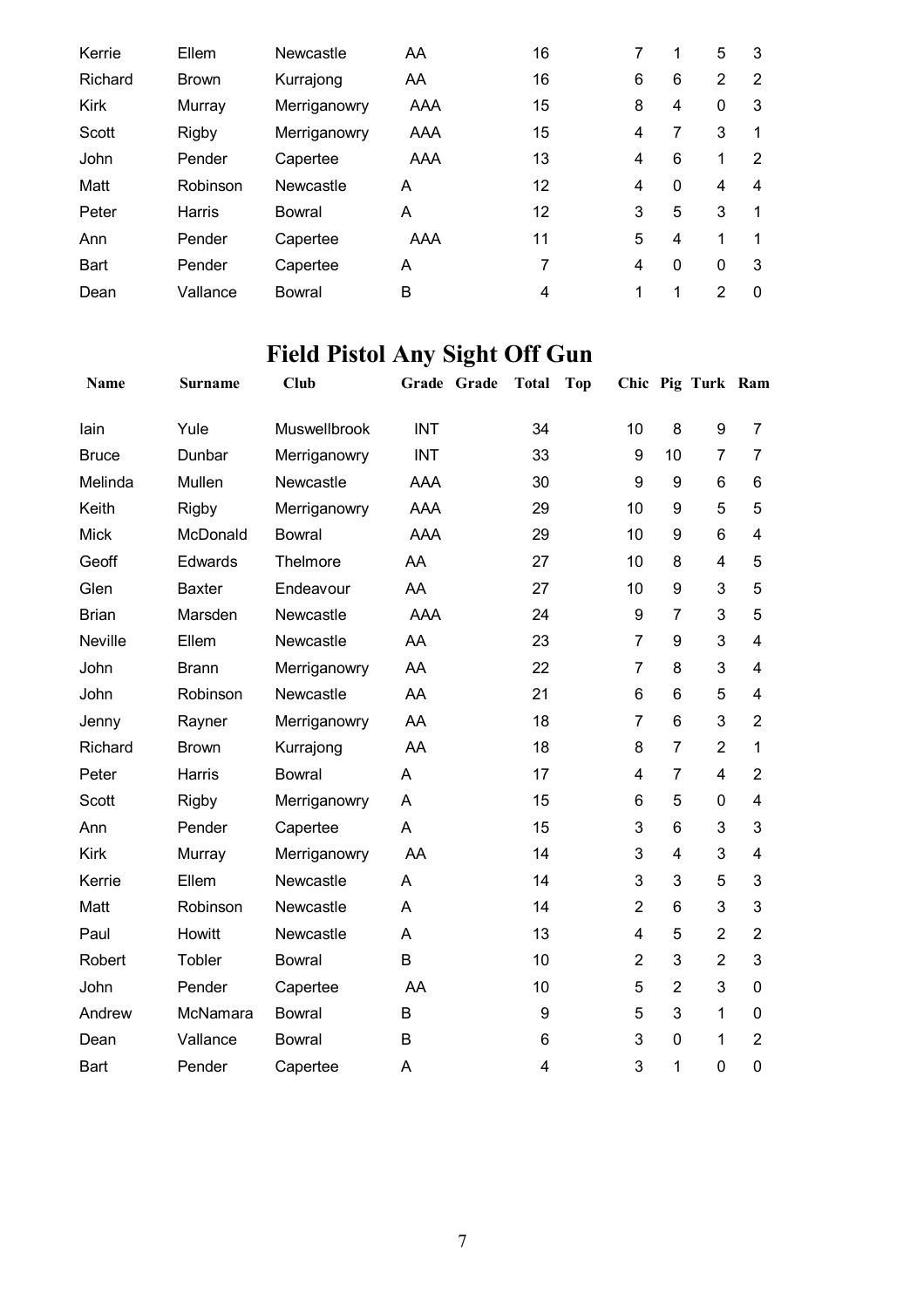| Kerrie      | Ellem        | Newcastle     | AA  | 16 |   |              | 5            | 3        |
|-------------|--------------|---------------|-----|----|---|--------------|--------------|----------|
| Richard     | <b>Brown</b> | Kurrajong     | AA  | 16 | 6 | 6            | 2            | 2        |
| Kirk        | Murray       | Merriganowry  | AAA | 15 | 8 | 4            | 0            | 3        |
| Scott       | <b>Rigby</b> | Merriganowry  | AAA | 15 | 4 | 7            | 3            |          |
| John        | Pender       | Capertee      | AAA | 13 | 4 | 6            |              | 2        |
| Matt        | Robinson     | Newcastle     | A   | 12 | 4 | $\mathbf{0}$ | 4            | 4        |
| Peter       | Harris       | Bowral        | A   | 12 | 3 | 5            | 3            | 1        |
| Ann         | Pender       | Capertee      | AAA | 11 | 5 | 4            | 1            |          |
| <b>Bart</b> | Pender       | Capertee      | A   | 7  | 4 | 0            | $\mathbf{0}$ | 3        |
| Dean        | Vallance     | <b>Bowral</b> | B   | 4  | 1 | 1            | 2            | $\Omega$ |

# **Field Pistol Any Sight Off Gun**

| Name         | <b>Surname</b> | <b>Club</b>         | Grade Grade | <b>Total</b>   | Top |                  |                | Chic Pig Turk Ram |                         |
|--------------|----------------|---------------------|-------------|----------------|-----|------------------|----------------|-------------------|-------------------------|
| lain         | Yule           | <b>Muswellbrook</b> | <b>INT</b>  | 34             |     | 10               | 8              | 9                 | $\overline{7}$          |
| <b>Bruce</b> | Dunbar         | Merriganowry        | <b>INT</b>  | 33             |     | $\boldsymbol{9}$ | 10             | $\overline{7}$    | $\overline{7}$          |
| Melinda      | Mullen         | Newcastle           | AAA         | 30             |     | 9                | 9              | 6                 | 6                       |
| Keith        | Rigby          | Merriganowry        | <b>AAA</b>  | 29             |     | 10               | 9              | 5                 | 5                       |
| <b>Mick</b>  | McDonald       | <b>Bowral</b>       | <b>AAA</b>  | 29             |     | 10               | 9              | 6                 | 4                       |
| Geoff        | Edwards        | Thelmore            | AA          | 27             |     | 10               | 8              | 4                 | 5                       |
| Glen         | <b>Baxter</b>  | Endeavour           | AA          | 27             |     | 10               | 9              | 3                 | 5                       |
| <b>Brian</b> | Marsden        | Newcastle           | <b>AAA</b>  | 24             |     | 9                | $\overline{7}$ | 3                 | 5                       |
| Neville      | Ellem          | Newcastle           | AA          | 23             |     | $\overline{7}$   | 9              | 3                 | $\overline{\mathbf{4}}$ |
| John         | <b>Brann</b>   | Merriganowry        | AA          | 22             |     | 7                | 8              | 3                 | $\overline{\mathbf{4}}$ |
| John         | Robinson       | Newcastle           | AA          | 21             |     | 6                | 6              | 5                 | $\overline{\mathbf{4}}$ |
| Jenny        | Rayner         | Merriganowry        | AA          | 18             |     | $\overline{7}$   | 6              | 3                 | $\overline{2}$          |
| Richard      | <b>Brown</b>   | Kurrajong           | AA          | 18             |     | 8                | $\overline{7}$ | $\overline{2}$    | 1                       |
| Peter        | Harris         | <b>Bowral</b>       | A           | 17             |     | 4                | $\overline{7}$ | 4                 | $\overline{2}$          |
| Scott        | <b>Rigby</b>   | Merriganowry        | A           | 15             |     | 6                | 5              | 0                 | 4                       |
| Ann          | Pender         | Capertee            | A           | 15             |     | 3                | 6              | 3                 | 3                       |
| Kirk         | Murray         | Merriganowry        | AA          | 14             |     | 3                | 4              | 3                 | 4                       |
| Kerrie       | Ellem          | Newcastle           | A           | 14             |     | 3                | 3              | 5                 | 3                       |
| Matt         | Robinson       | Newcastle           | A           | 14             |     | $\overline{2}$   | 6              | 3                 | 3                       |
| Paul         | Howitt         | Newcastle           | A           | 13             |     | 4                | 5              | $\overline{2}$    | $\overline{2}$          |
| Robert       | Tobler         | <b>Bowral</b>       | B           | 10             |     | $\overline{2}$   | 3              | $\overline{2}$    | 3                       |
| John         | Pender         | Capertee            | AA          | 10             |     | 5                | $\overline{2}$ | 3                 | 0                       |
| Andrew       | McNamara       | <b>Bowral</b>       | B           | 9              |     | 5                | 3              | 1                 | 0                       |
| Dean         | Vallance       | <b>Bowral</b>       | B           | 6              |     | 3                | 0              | 1                 | $\overline{2}$          |
| <b>Bart</b>  | Pender         | Capertee            | A           | $\overline{4}$ |     | 3                | 1              | $\overline{0}$    | 0                       |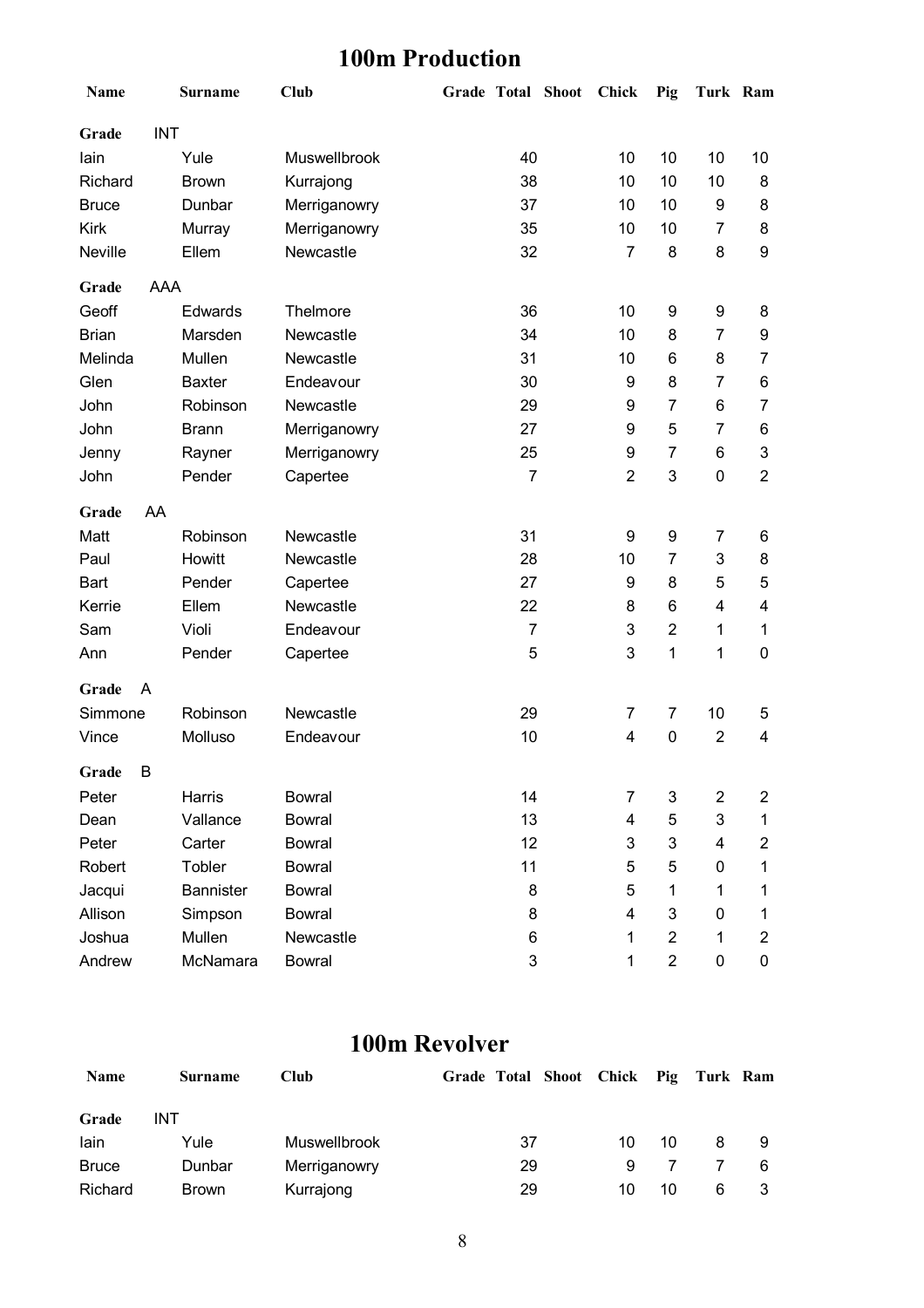## **100m Production**

| Name         |            | <b>Surname</b> | <b>Club</b>   | Grade Total Shoot |                | <b>Chick</b>   | Pig            | Turk Ram                |                         |
|--------------|------------|----------------|---------------|-------------------|----------------|----------------|----------------|-------------------------|-------------------------|
| Grade        | <b>INT</b> |                |               |                   |                |                |                |                         |                         |
| lain         |            | Yule           | Muswellbrook  |                   | 40             | 10             | 10             | 10                      | 10                      |
| Richard      |            | <b>Brown</b>   | Kurrajong     |                   | 38             | 10             | 10             | 10                      | 8                       |
| <b>Bruce</b> |            | Dunbar         | Merriganowry  |                   | 37             | 10             | 10             | 9                       | 8                       |
| Kirk         |            | Murray         | Merriganowry  |                   | 35             | 10             | 10             | $\overline{7}$          | 8                       |
| Neville      |            | Ellem          | Newcastle     |                   | 32             | 7              | 8              | 8                       | 9                       |
| Grade        | AAA        |                |               |                   |                |                |                |                         |                         |
| Geoff        |            | Edwards        | Thelmore      |                   | 36             | 10             | 9              | 9                       | 8                       |
| <b>Brian</b> |            | Marsden        | Newcastle     |                   | 34             | 10             | 8              | $\overline{7}$          | 9                       |
| Melinda      |            | Mullen         | Newcastle     |                   | 31             | 10             | 6              | 8                       | 7                       |
| Glen         |            | <b>Baxter</b>  | Endeavour     |                   | 30             | 9              | 8              | $\overline{7}$          | 6                       |
| John         |            | Robinson       | Newcastle     |                   | 29             | 9              | 7              | 6                       | 7                       |
| John         |            | <b>Brann</b>   | Merriganowry  |                   | 27             | 9              | 5              | $\overline{7}$          | 6                       |
| Jenny        |            | Rayner         | Merriganowry  |                   | 25             | 9              | 7              | 6                       | 3                       |
| John         |            | Pender         | Capertee      |                   | $\overline{7}$ | $\overline{2}$ | 3              | $\mathbf 0$             | $\overline{2}$          |
| Grade        | AA         |                |               |                   |                |                |                |                         |                         |
| Matt         |            | Robinson       | Newcastle     |                   | 31             | 9              | 9              | $\overline{7}$          | 6                       |
| Paul         |            | Howitt         | Newcastle     |                   | 28             | 10             | 7              | 3                       | 8                       |
| <b>Bart</b>  |            | Pender         | Capertee      |                   | 27             | 9              | 8              | 5                       | 5                       |
| Kerrie       |            | Ellem          | Newcastle     |                   | 22             | 8              | 6              | $\overline{\mathbf{4}}$ | 4                       |
| Sam          |            | Violi          | Endeavour     |                   | 7              | 3              | $\overline{2}$ | 1                       | 1                       |
| Ann          |            | Pender         | Capertee      |                   | 5              | 3              | $\mathbf{1}$   | $\mathbf 1$             | $\pmb{0}$               |
| Grade        | Α          |                |               |                   |                |                |                |                         |                         |
| Simmone      |            | Robinson       | Newcastle     |                   | 29             | 7              | 7              | 10                      | 5                       |
| Vince        |            | Molluso        | Endeavour     |                   | 10             | 4              | $\pmb{0}$      | $\overline{2}$          | 4                       |
| Grade        | B          |                |               |                   |                |                |                |                         |                         |
| Peter        |            | Harris         | <b>Bowral</b> |                   | 14             | 7              | 3              | $\boldsymbol{2}$        | $\overline{c}$          |
| Dean         |            | Vallance       | <b>Bowral</b> |                   | 13             | 4              | 5              | 3                       | 1                       |
| Peter        |            | Carter         | <b>Bowral</b> |                   | 12             | 3              | 3              | $\overline{\mathbf{4}}$ | $\overline{c}$          |
| Robert       |            | Tobler         | <b>Bowral</b> |                   | 11             | 5              | 5              | 0                       | 1                       |
| Jacqui       |            | Bannister      | <b>Bowral</b> |                   | 8              | 5              | 1              | 1                       | 1                       |
| Allison      |            | Simpson        | <b>Bowral</b> |                   | 8              | 4              | 3              | 0                       | 1                       |
| Joshua       |            | Mullen         | Newcastle     |                   | 6              | 1              | $\overline{2}$ | 1                       | $\overline{\mathbf{c}}$ |
| Andrew       |            | McNamara       | <b>Bowral</b> |                   | 3              | 1              | $\overline{c}$ | $\pmb{0}$               | 0                       |

#### **100m Revolver**

| Name         | <b>Surname</b> | Club                | Grade Total Shoot Chick Pig Turk Ram |    |    |   |   |
|--------------|----------------|---------------------|--------------------------------------|----|----|---|---|
| Grade        | INT            |                     |                                      |    |    |   |   |
| lain         | Yule           | <b>Muswellbrook</b> | 37                                   | 10 | 10 | 8 |   |
| <b>Bruce</b> | Dunbar         | Merriganowry        | 29                                   | 9  |    |   | 6 |
| Richard      | <b>Brown</b>   | Kurrajong           | 29                                   | 10 | 10 | 6 |   |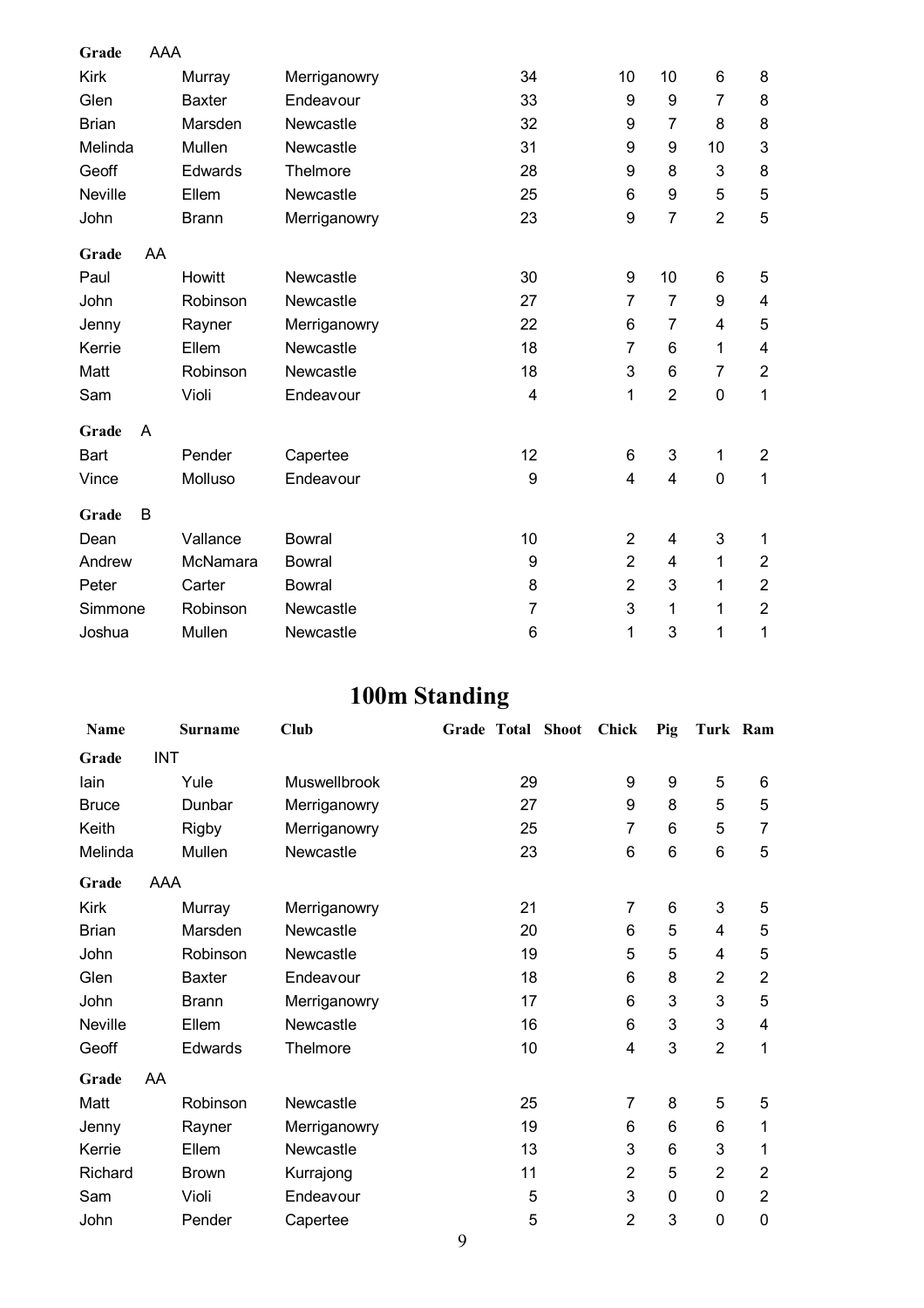| Grade        | <b>AAA</b> |                |               |                |                  |                           |                |                         |
|--------------|------------|----------------|---------------|----------------|------------------|---------------------------|----------------|-------------------------|
| <b>Kirk</b>  |            | Murray         | Merriganowry  | 34             | 10               | 10                        | 6              | 8                       |
| Glen         |            | <b>Baxter</b>  | Endeavour     | 33             | 9                | $\boldsymbol{9}$          | $\overline{7}$ | 8                       |
| <b>Brian</b> |            | Marsden        | Newcastle     | 32             | $\boldsymbol{9}$ | $\overline{7}$            | 8              | 8                       |
| Melinda      |            | Mullen         | Newcastle     | 31             | $\boldsymbol{9}$ | 9                         | 10             | 3                       |
| Geoff        |            | <b>Edwards</b> | Thelmore      | 28             | 9                | 8                         | 3              | 8                       |
| Neville      |            | Ellem          | Newcastle     | 25             | $6\phantom{1}$   | 9                         | 5              | 5                       |
| John         |            | <b>Brann</b>   | Merriganowry  | 23             | $\boldsymbol{9}$ | $\overline{7}$            | $\overline{2}$ | 5                       |
| Grade        | AA         |                |               |                |                  |                           |                |                         |
| Paul         |            | Howitt         | Newcastle     | 30             | $\boldsymbol{9}$ | 10                        | 6              | 5                       |
| John         |            | Robinson       | Newcastle     | 27             | $\overline{7}$   | $\overline{7}$            | 9              | $\overline{\mathbf{4}}$ |
| Jenny        |            | Rayner         | Merriganowry  | 22             | 6                | 7                         | 4              | 5                       |
| Kerrie       |            | Ellem          | Newcastle     | 18             | $\overline{7}$   | 6                         | 1              | $\overline{\mathbf{4}}$ |
| Matt         |            | Robinson       | Newcastle     | 18             | $\mathbf{3}$     | 6                         | 7              | $\overline{2}$          |
| Sam          |            | Violi          | Endeavour     | 4              | 1                | $\overline{2}$            | $\mathbf 0$    | $\mathbf 1$             |
| Grade        | A          |                |               |                |                  |                           |                |                         |
| Bart         |            | Pender         | Capertee      | 12             | 6                | $\ensuremath{\mathsf{3}}$ | $\mathbf 1$    | $\overline{2}$          |
| Vince        |            | Molluso        | Endeavour     | 9              | $\overline{4}$   | 4                         | $\mathbf 0$    | 1                       |
| Grade        | B          |                |               |                |                  |                           |                |                         |
| Dean         |            | Vallance       | <b>Bowral</b> | 10             | $\overline{2}$   | $\overline{\mathbf{4}}$   | 3              | 1                       |
| Andrew       |            | McNamara       | Bowral        | 9              | $\overline{2}$   | 4                         | $\mathbf{1}$   | $\overline{2}$          |
| Peter        |            | Carter         | <b>Bowral</b> | 8              | $\overline{2}$   | 3                         | 1              | $\overline{2}$          |
| Simmone      |            | Robinson       | Newcastle     | $\overline{7}$ | 3                | 1                         | 1              | $\overline{2}$          |
| Joshua       |            | Mullen         | Newcastle     | 6              | 1                | 3                         | 1              | 1                       |

# **100m Standing**

| Name         |            | <b>Surname</b> | <b>Club</b>  | Grade Total Shoot |    | <b>Chick</b>   | Pig | Turk Ram       |                |
|--------------|------------|----------------|--------------|-------------------|----|----------------|-----|----------------|----------------|
| Grade        | <b>INT</b> |                |              |                   |    |                |     |                |                |
| lain         |            | Yule           | Muswellbrook |                   | 29 | 9              | 9   | 5              | 6              |
| <b>Bruce</b> |            | Dunbar         | Merriganowry |                   | 27 | 9              | 8   | 5              | 5              |
| Keith        |            | <b>Rigby</b>   | Merriganowry |                   | 25 | 7              | 6   | 5              | $\overline{7}$ |
| Melinda      |            | Mullen         | Newcastle    |                   | 23 | 6              | 6   | 6              | 5              |
| Grade        | AAA        |                |              |                   |    |                |     |                |                |
| Kirk         |            | Murray         | Merriganowry |                   | 21 | $\overline{7}$ | 6   | 3              | 5              |
| <b>Brian</b> |            | Marsden        | Newcastle    |                   | 20 | 6              | 5   | 4              | $\mathbf 5$    |
| John         |            | Robinson       | Newcastle    |                   | 19 | 5              | 5   | 4              | 5              |
| Glen         |            | <b>Baxter</b>  | Endeavour    |                   | 18 | 6              | 8   | $\overline{2}$ | $\overline{2}$ |
| John         |            | <b>Brann</b>   | Merriganowry |                   | 17 | 6              | 3   | 3              | 5              |
| Neville      |            | Ellem          | Newcastle    |                   | 16 | 6              | 3   | 3              | 4              |
| Geoff        |            | Edwards        | Thelmore     |                   | 10 | 4              | 3   | $\overline{2}$ | 1              |
| Grade        | AA         |                |              |                   |    |                |     |                |                |
| Matt         |            | Robinson       | Newcastle    |                   | 25 | 7              | 8   | 5              | 5              |
| Jenny        |            | Rayner         | Merriganowry |                   | 19 | 6              | 6   | 6              | 1              |
| Kerrie       |            | Ellem          | Newcastle    |                   | 13 | 3              | 6   | 3              | 1              |
| Richard      |            | <b>Brown</b>   | Kurrajong    |                   | 11 | $\overline{2}$ | 5   | $\overline{2}$ | $\mathbf{2}$   |
| Sam          |            | Violi          | Endeavour    |                   | 5  | 3              | 0   | 0              | $\overline{2}$ |
| John         |            | Pender         | Capertee     |                   | 5  | $\overline{2}$ | 3   | $\mathbf 0$    | $\mathbf 0$    |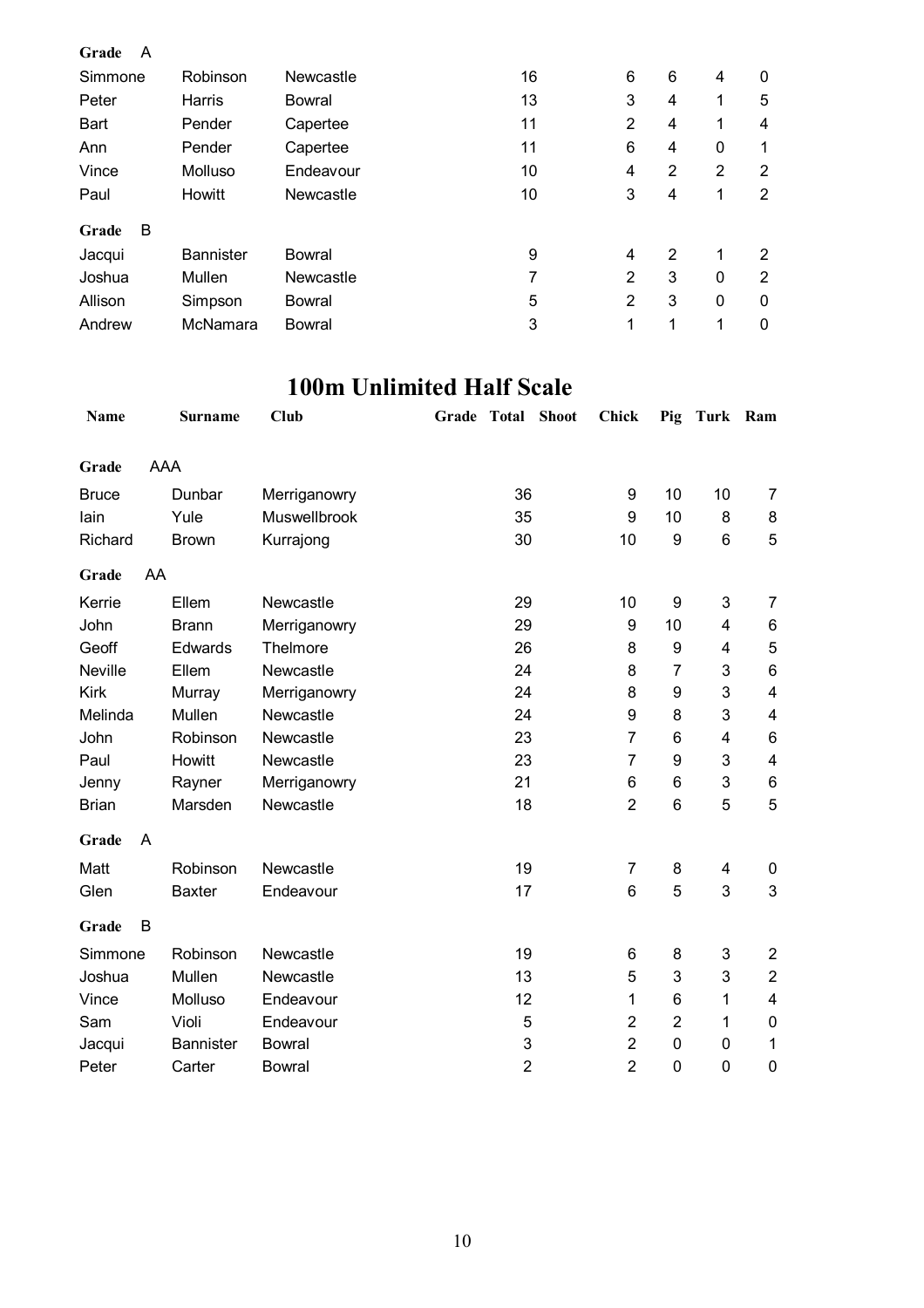| A<br>Grade |                  |           |    |                |                |          |                |
|------------|------------------|-----------|----|----------------|----------------|----------|----------------|
| Simmone    | Robinson         | Newcastle | 16 | 6              | 6              | 4        | 0              |
| Peter      | Harris           | Bowral    | 13 | 3              | 4              | 1        | 5              |
| Bart       | Pender           | Capertee  | 11 | $\overline{2}$ | 4              | 1        | 4              |
| Ann        | Pender           | Capertee  | 11 | 6              | 4              | 0        | 1              |
| Vince      | Molluso          | Endeavour | 10 | 4              | 2              | 2        | 2              |
| Paul       | <b>Howitt</b>    | Newcastle | 10 | 3              | $\overline{4}$ | 1        | 2              |
| B<br>Grade |                  |           |    |                |                |          |                |
| Jacqui     | <b>Bannister</b> | Bowral    | 9  | $\overline{4}$ | 2              | 1        | 2              |
| Joshua     | Mullen           | Newcastle | 7  | $\overline{2}$ | 3              | $\Omega$ | $\overline{2}$ |
| Allison    | Simpson          | Bowral    | 5  | 2              | 3              | $\Omega$ | 0              |
| Andrew     | McNamara         | Bowral    | 3  | 1              | 1              | 1        | $\mathbf 0$    |

#### **100m Unlimited Half Scale**

| <b>Name</b>  |     | <b>Surname</b>   | Club          | Grade | Total                     | <b>Shoot</b> | Chick          | Pig              | Turk Ram       |                         |
|--------------|-----|------------------|---------------|-------|---------------------------|--------------|----------------|------------------|----------------|-------------------------|
| Grade        | AAA |                  |               |       |                           |              |                |                  |                |                         |
| <b>Bruce</b> |     | Dunbar           | Merriganowry  |       | 36                        |              | 9              | 10               | 10             | 7                       |
| lain         |     | Yule             | Muswellbrook  |       | 35                        |              | 9              | 10               | 8              | 8                       |
| Richard      |     | <b>Brown</b>     | Kurrajong     |       | 30                        |              | 10             | 9                | $6\phantom{1}$ | 5                       |
| Grade        | AA  |                  |               |       |                           |              |                |                  |                |                         |
| Kerrie       |     | Ellem            | Newcastle     |       | 29                        |              | 10             | $\boldsymbol{9}$ | 3              | 7                       |
| John         |     | <b>Brann</b>     | Merriganowry  |       | 29                        |              | 9              | 10               | 4              | 6                       |
| Geoff        |     | Edwards          | Thelmore      |       | 26                        |              | 8              | 9                | 4              | 5                       |
| Neville      |     | Ellem            | Newcastle     |       | 24                        |              | 8              | $\overline{7}$   | 3              | 6                       |
| <b>Kirk</b>  |     | Murray           | Merriganowry  |       | 24                        |              | 8              | 9                | 3              | $\overline{\mathbf{4}}$ |
| Melinda      |     | Mullen           | Newcastle     |       | 24                        |              | 9              | 8                | 3              | $\overline{\mathbf{4}}$ |
| John         |     | Robinson         | Newcastle     |       | 23                        |              | $\overline{7}$ | 6                | 4              | 6                       |
| Paul         |     | Howitt           | Newcastle     |       | 23                        |              | $\overline{7}$ | 9                | 3              | $\overline{\mathbf{4}}$ |
| Jenny        |     | Rayner           | Merriganowry  |       | 21                        |              | 6              | 6                | 3              | 6                       |
| <b>Brian</b> |     | Marsden          | Newcastle     |       | 18                        |              | $\overline{2}$ | $6\phantom{1}6$  | 5              | 5                       |
| Grade        | A   |                  |               |       |                           |              |                |                  |                |                         |
| Matt         |     | Robinson         | Newcastle     |       | 19                        |              | 7              | 8                | 4              | 0                       |
| Glen         |     | <b>Baxter</b>    | Endeavour     |       | 17                        |              | 6              | 5                | 3              | 3                       |
| Grade        | B   |                  |               |       |                           |              |                |                  |                |                         |
| Simmone      |     | Robinson         | Newcastle     |       | 19                        |              | 6              | 8                | 3              | $\overline{c}$          |
| Joshua       |     | Mullen           | Newcastle     |       | 13                        |              | 5              | 3                | 3              | $\overline{2}$          |
| Vince        |     | Molluso          | Endeavour     |       | 12                        |              | 1              | 6                | 1              | 4                       |
| Sam          |     | Violi            | Endeavour     |       | 5                         |              | $\overline{2}$ | $\overline{2}$   | 1              | 0                       |
| Jacqui       |     | <b>Bannister</b> | <b>Bowral</b> |       | $\ensuremath{\mathsf{3}}$ |              | $\overline{2}$ | $\mathbf 0$      | $\pmb{0}$      | 1                       |
| Peter        |     | Carter           | <b>Bowral</b> |       | $\overline{2}$            |              | $\overline{2}$ | $\overline{0}$   | 0              | $\mathbf 0$             |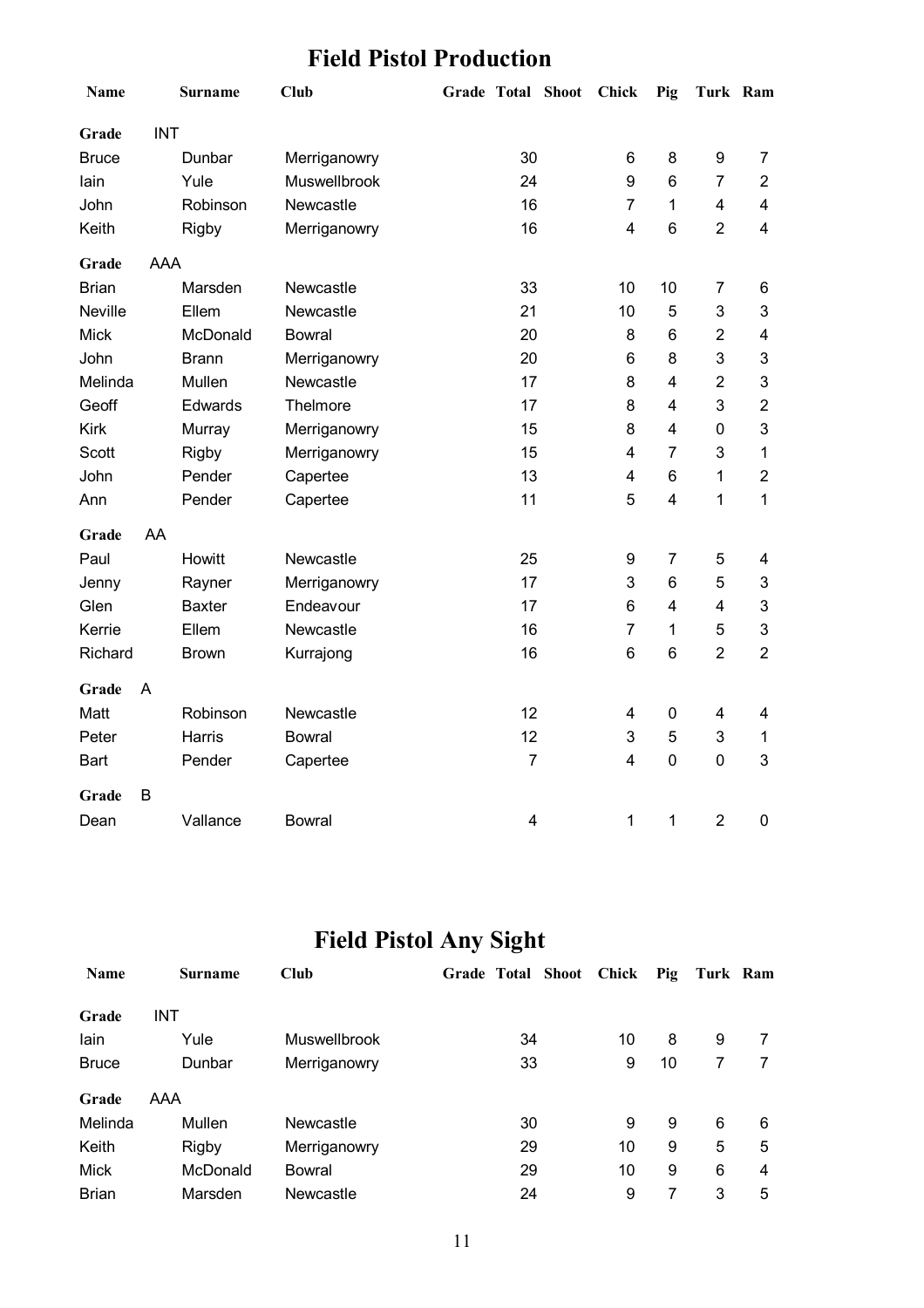## **Field Pistol Production**

| <b>Name</b>    |            | <b>Surname</b> | <b>Club</b>   |                         | Grade Total Shoot | <b>Chick</b>     | Pig                     | Turk Ram                |                |
|----------------|------------|----------------|---------------|-------------------------|-------------------|------------------|-------------------------|-------------------------|----------------|
| Grade          | <b>INT</b> |                |               |                         |                   |                  |                         |                         |                |
| <b>Bruce</b>   |            | Dunbar         | Merriganowry  | 30                      |                   | 6                | 8                       | $\boldsymbol{9}$        | $\overline{7}$ |
| lain           |            | Yule           | Muswellbrook  | 24                      |                   | 9                | 6                       | $\overline{7}$          | $\overline{c}$ |
| <b>John</b>    |            | Robinson       | Newcastle     | 16                      |                   | $\overline{7}$   | 1                       | $\overline{\mathbf{4}}$ | 4              |
| Keith          |            | <b>Rigby</b>   | Merriganowry  | 16                      |                   | $\overline{4}$   | 6                       | $\overline{2}$          | 4              |
| Grade          | AAA        |                |               |                         |                   |                  |                         |                         |                |
| <b>Brian</b>   |            | Marsden        | Newcastle     | 33                      |                   | 10               | 10                      | 7                       | 6              |
| <b>Neville</b> |            | Ellem          | Newcastle     | 21                      |                   | 10               | 5                       | 3                       | 3              |
| <b>Mick</b>    |            | McDonald       | <b>Bowral</b> | 20                      |                   | 8                | 6                       | $\overline{2}$          | 4              |
| John           |            | <b>Brann</b>   | Merriganowry  | 20                      |                   | 6                | 8                       | 3                       | 3              |
| Melinda        |            | Mullen         | Newcastle     | 17                      |                   | 8                | $\overline{4}$          | $\overline{2}$          | 3              |
| Geoff          |            | Edwards        | Thelmore      | 17                      |                   | 8                | $\overline{4}$          | 3                       | 2              |
| <b>Kirk</b>    |            | Murray         | Merriganowry  | 15                      |                   | 8                | $\overline{4}$          | $\mathbf 0$             | 3              |
| <b>Scott</b>   |            | <b>Rigby</b>   | Merriganowry  | 15                      |                   | 4                | $\overline{7}$          | 3                       | $\mathbf 1$    |
| John           |            | Pender         | Capertee      | 13                      |                   | 4                | 6                       | 1                       | $\overline{2}$ |
| Ann            |            | Pender         | Capertee      | 11                      |                   | 5                | 4                       | 1                       | 1              |
| Grade          | AA         |                |               |                         |                   |                  |                         |                         |                |
| Paul           |            | Howitt         | Newcastle     | 25                      |                   | $\boldsymbol{9}$ | $\overline{7}$          | 5                       | 4              |
| Jenny          |            | Rayner         | Merriganowry  | 17                      |                   | 3                | 6                       | 5                       | 3              |
| Glen           |            | <b>Baxter</b>  | Endeavour     | 17                      |                   | 6                | $\overline{\mathbf{4}}$ | $\overline{\mathbf{4}}$ | 3              |
| Kerrie         |            | Ellem          | Newcastle     | 16                      |                   | $\overline{7}$   | 1                       | 5                       | 3              |
| Richard        |            | <b>Brown</b>   | Kurrajong     | 16                      |                   | 6                | 6                       | $\overline{2}$          | $\overline{2}$ |
| Grade          | A          |                |               |                         |                   |                  |                         |                         |                |
| Matt           |            | Robinson       | Newcastle     | 12                      |                   | $\overline{4}$   | 0                       | 4                       | 4              |
| Peter          |            | Harris         | <b>Bowral</b> | 12                      |                   | 3                | 5                       | 3                       | $\mathbf 1$    |
| Bart           |            | Pender         | Capertee      | $\overline{7}$          |                   | 4                | 0                       | $\pmb{0}$               | 3              |
| Grade          | B          |                |               |                         |                   |                  |                         |                         |                |
| Dean           |            | Vallance       | <b>Bowral</b> | $\overline{\mathbf{4}}$ |                   | 1                | 1                       | $\overline{2}$          | 0              |

## **Field Pistol Any Sight**

| <b>Name</b>  | <b>Surname</b> | Club                | Grade Total Shoot | Chick | Pig | Turk Ram |   |
|--------------|----------------|---------------------|-------------------|-------|-----|----------|---|
| Grade        | INT            |                     |                   |       |     |          |   |
| lain         | Yule           | <b>Muswellbrook</b> | 34                | 10    | 8   | 9        |   |
| <b>Bruce</b> | Dunbar         | Merriganowry        | 33                | 9     | 10  |          |   |
| Grade        | AAA            |                     |                   |       |     |          |   |
| Melinda      | Mullen         | Newcastle           | 30                | 9     | 9   | 6        | 6 |
| Keith        | <b>Rigby</b>   | Merriganowry        | 29                | 10    | 9   | 5        | 5 |
| Mick         | McDonald       | Bowral              | 29                | 10    | 9   | 6        | 4 |
| <b>Brian</b> | Marsden        | Newcastle           | 24                | 9     | 7   | 3        | 5 |